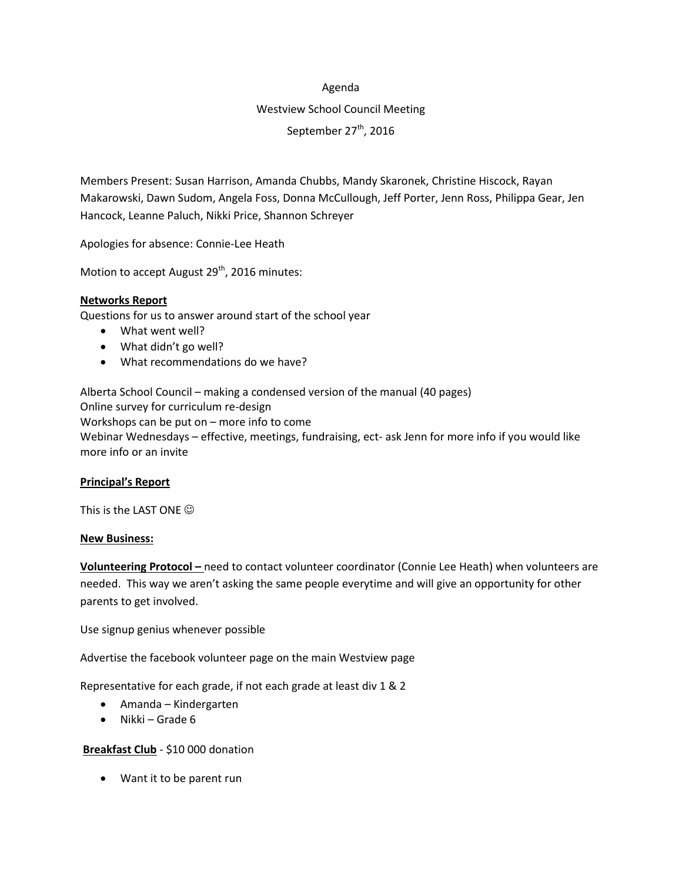#### Agenda

# Westview School Council Meeting September 27<sup>th</sup>, 2016

Members Present: Susan Harrison, Amanda Chubbs, Mandy Skaronek, Christine Hiscock, Rayan Makarowski, Dawn Sudom, Angela Foss, Donna McCullough, Jeff Porter, Jenn Ross, Philippa Gear, Jen Hancock, Leanne Paluch, Nikki Price, Shannon Schreyer

Apologies for absence: Connie-Lee Heath

Motion to accept August 29<sup>th</sup>, 2016 minutes:

# **Networks Report**

Questions for us to answer around start of the school year

- What went well?
- What didn't go well?
- What recommendations do we have?

Alberta School Council – making a condensed version of the manual (40 pages) Online survey for curriculum re-design Workshops can be put on – more info to come Webinar Wednesdays – effective, meetings, fundraising, ect- ask Jenn for more info if you would like more info or an invite

# **Principal's Report**

This is the LAST ONE  $\odot$ 

# **New Business:**

**Volunteering Protocol –** need to contact volunteer coordinator (Connie Lee Heath) when volunteers are needed. This way we aren't asking the same people everytime and will give an opportunity for other parents to get involved.

Use signup genius whenever possible

Advertise the facebook volunteer page on the main Westview page

Representative for each grade, if not each grade at least div 1 & 2

- Amanda Kindergarten
- $\bullet$  Nikki Grade 6

# **Breakfast Club** - \$10 000 donation

Want it to be parent run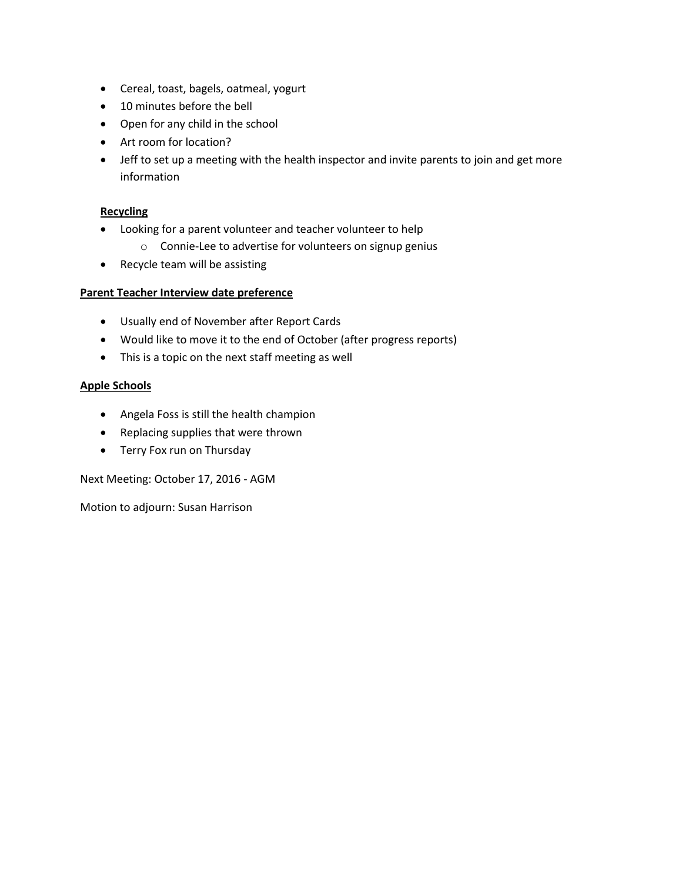- Cereal, toast, bagels, oatmeal, yogurt
- 10 minutes before the bell
- Open for any child in the school
- Art room for location?
- Jeff to set up a meeting with the health inspector and invite parents to join and get more information

# **Recycling**

- Looking for a parent volunteer and teacher volunteer to help
	- o Connie-Lee to advertise for volunteers on signup genius
- Recycle team will be assisting

# **Parent Teacher Interview date preference**

- Usually end of November after Report Cards
- Would like to move it to the end of October (after progress reports)
- This is a topic on the next staff meeting as well

# **Apple Schools**

- Angela Foss is still the health champion
- Replacing supplies that were thrown
- Terry Fox run on Thursday

Next Meeting: October 17, 2016 - AGM

Motion to adjourn: Susan Harrison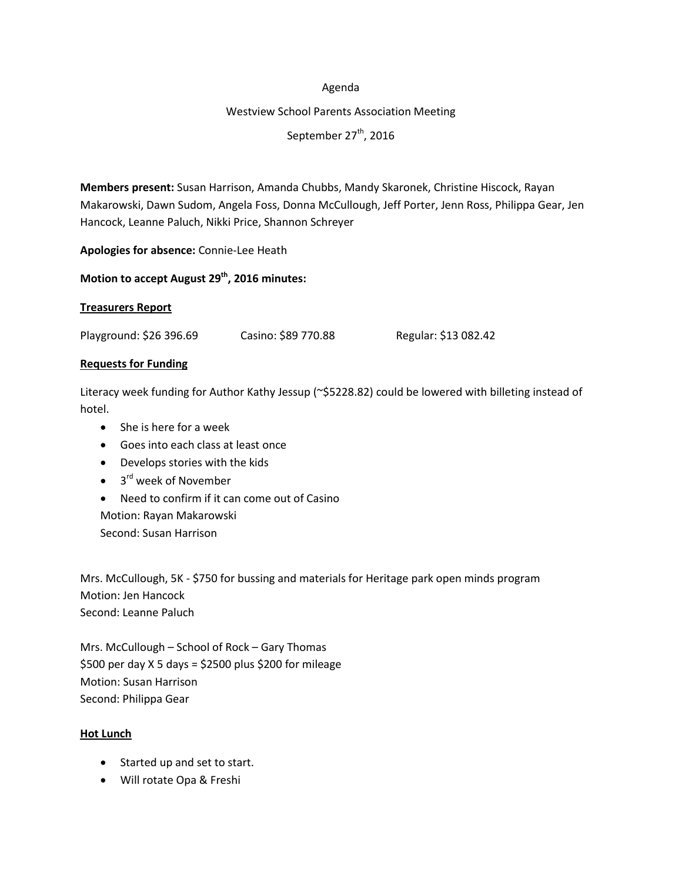#### Agenda

#### Westview School Parents Association Meeting

September 27<sup>th</sup>, 2016

**Members present:** Susan Harrison, Amanda Chubbs, Mandy Skaronek, Christine Hiscock, Rayan Makarowski, Dawn Sudom, Angela Foss, Donna McCullough, Jeff Porter, Jenn Ross, Philippa Gear, Jen Hancock, Leanne Paluch, Nikki Price, Shannon Schreyer

**Apologies for absence:** Connie-Lee Heath

# **Motion to accept August 29th , 2016 minutes:**

# **Treasurers Report**

Playground: \$26 396.69 Casino: \$89 770.88 Regular: \$13 082.42

# **Requests for Funding**

Literacy week funding for Author Kathy Jessup (~\$5228.82) could be lowered with billeting instead of hotel.

- She is here for a week
- Goes into each class at least once
- Develops stories with the kids
- 3<sup>rd</sup> week of November
- Need to confirm if it can come out of Casino Motion: Rayan Makarowski Second: Susan Harrison

Mrs. McCullough, 5K - \$750 for bussing and materials for Heritage park open minds program Motion: Jen Hancock Second: Leanne Paluch

Mrs. McCullough – School of Rock – Gary Thomas \$500 per day X 5 days = \$2500 plus \$200 for mileage Motion: Susan Harrison Second: Philippa Gear

# **Hot Lunch**

- Started up and set to start.
- Will rotate Opa & Freshi